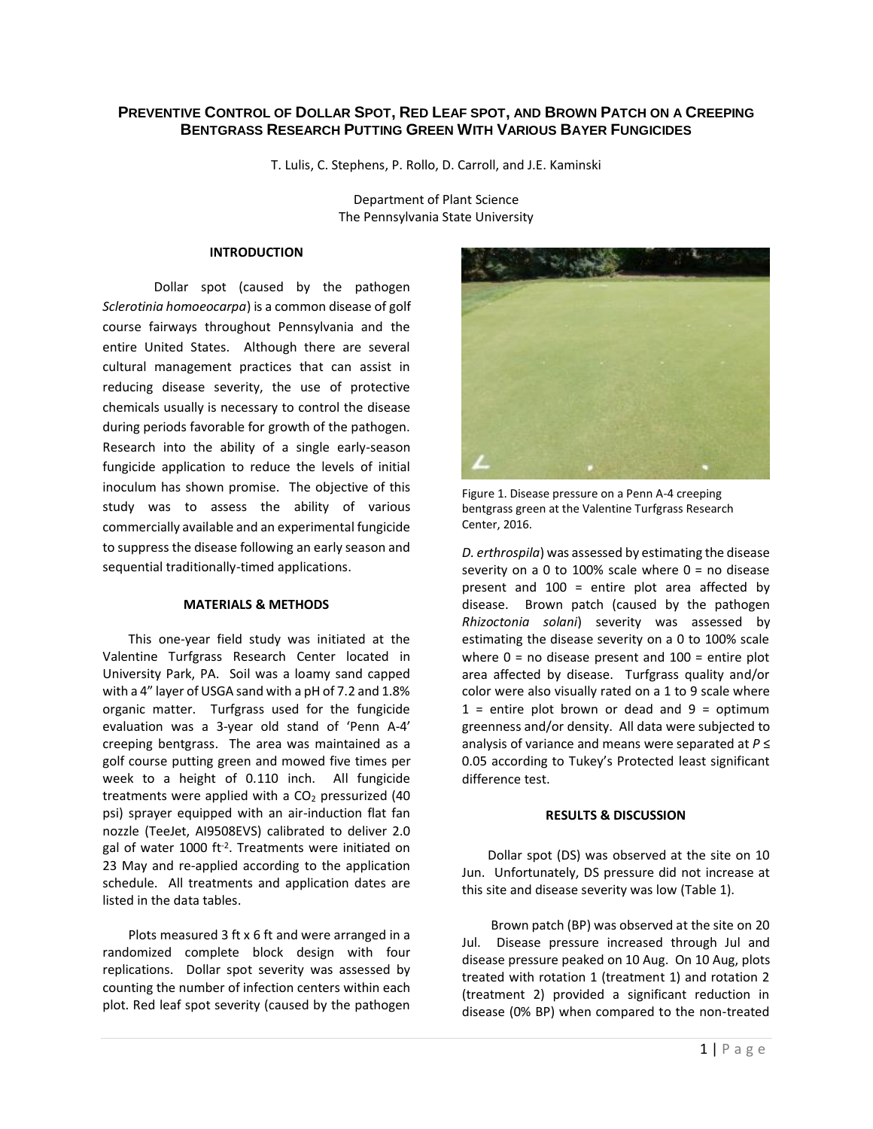# PREVENTIVE CONTROL OF DOLLAR SPOT, RED LEAF SPOT, AND BROWN PATCH ON A CREEPING **BENTGRASS RESEARCH PUTTING GREEN WITH VARIOUS BAYER FUNGICIDES**

T. Lulis, C. Stephens, P. Rollo, D. Carroll, and J.E. Kaminski

Department of Plant Science The Pennsylvania State University

#### **INTRODUCTION**

Dollar spot (caused by the pathogen *Sclerotinia homoeocarpa*) is a common disease of golf course fairways throughout Pennsylvania and the entire United States. Although there are several cultural management practices that can assist in reducing disease severity, the use of protective chemicals usually is necessary to control the disease during periods favorable for growth of the pathogen. Research into the ability of a single early-season fungicide application to reduce the levels of initial inoculum has shown promise. The objective of this study was to assess the ability of various commercially available and an experimental fungicide to suppress the disease following an early season and sequential traditionally-timed applications.

### **MATERIALS & METHODS**

This one-year field study was initiated at the Valentine Turfgrass Research Center located in University Park, PA. Soil was a loamy sand capped with a 4" layer of USGA sand with a pH of 7.2 and 1.8% organic matter. Turfgrass used for the fungicide evaluation was a 3-year old stand of 'Penn A-4' creeping bentgrass. The area was maintained as a golf course putting green and mowed five times per week to a height of 0.110 inch. All fungicide treatments were applied with a  $CO<sub>2</sub>$  pressurized (40 psi) sprayer equipped with an air-induction flat fan nozzle (TeeJet, AI9508EVS) calibrated to deliver 2.0 gal of water 1000 ft<sup>-2</sup>. Treatments were initiated on 23 May and re-applied according to the application schedule. All treatments and application dates are listed in the data tables.

Plots measured 3 ft x 6 ft and were arranged in a randomized complete block design with four replications. Dollar spot severity was assessed by counting the number of infection centers within each plot. Red leaf spot severity (caused by the pathogen



Figure 1. Disease pressure on a Penn A-4 creeping bentgrass green at the Valentine Turfgrass Research Center, 2016.

*D. erthrospila*) was assessed by estimating the disease severity on a 0 to 100% scale where  $0 =$  no disease present and 100 = entire plot area affected by disease. Brown patch (caused by the pathogen *Rhizoctonia solani*) severity was assessed by estimating the disease severity on a 0 to 100% scale where  $0 =$  no disease present and  $100 =$  entire plot area affected by disease. Turfgrass quality and/or color were also visually rated on a 1 to 9 scale where  $1$  = entire plot brown or dead and  $9$  = optimum greenness and/or density. All data were subjected to analysis of variance and means were separated at *P* ≤ 0.05 according to Tukey's Protected least significant difference test.

### **RESULTS & DISCUSSION**

Dollar spot (DS) was observed at the site on 10 Jun. Unfortunately, DS pressure did not increase at this site and disease severity was low (Table 1).

Brown patch (BP) was observed at the site on 20 Jul. Disease pressure increased through Jul and disease pressure peaked on 10 Aug. On 10 Aug, plots treated with rotation 1 (treatment 1) and rotation 2 (treatment 2) provided a significant reduction in disease (0% BP) when compared to the non-treated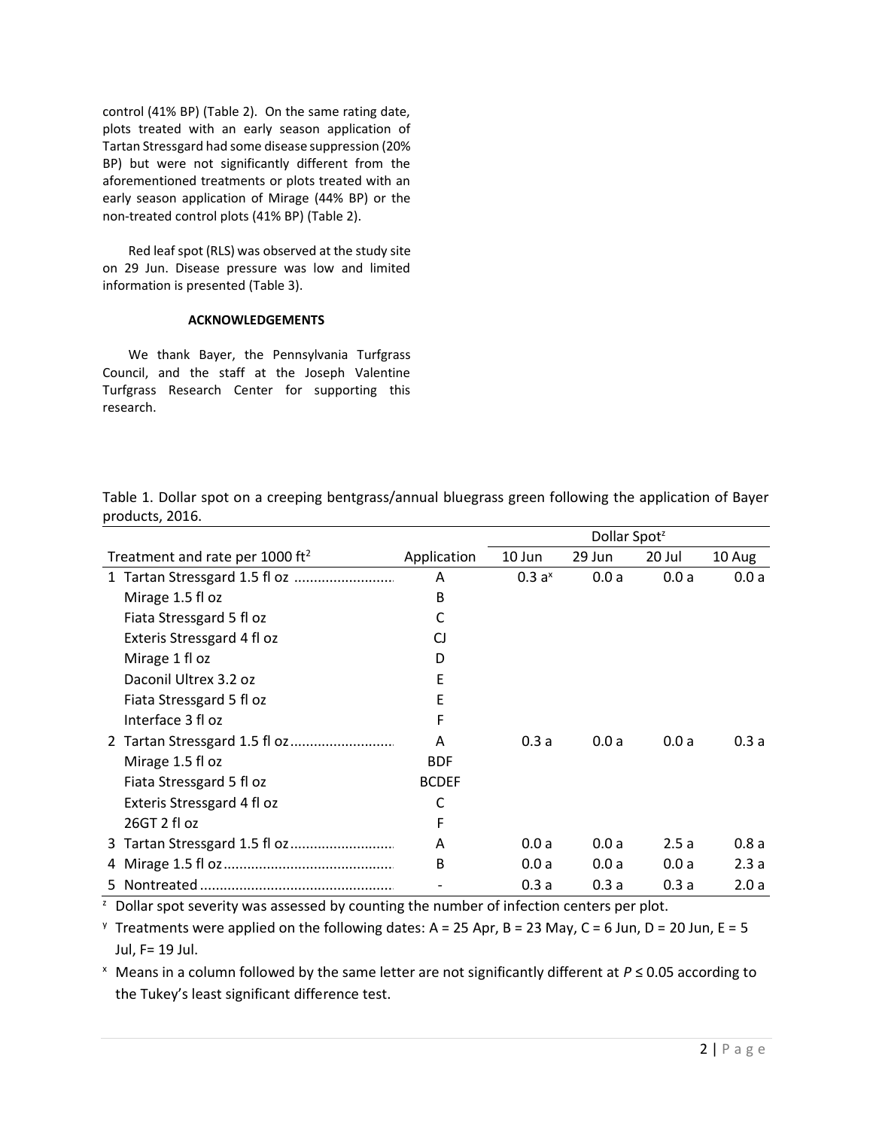control (41% BP) (Table 2). On the same rating date, plots treated with an early season application of Tartan Stressgard had some disease suppression (20% BP) but were not significantly different from the aforementioned treatments or plots treated with an early season application of Mirage (44% BP) or the non-treated control plots (41% BP) (Table 2).

Red leaf spot (RLS) was observed at the study site on 29 Jun. Disease pressure was low and limited information is presented (Table 3).

## **ACKNOWLEDGEMENTS**

We thank Bayer, the Pennsylvania Turfgrass Council, and the staff at the Joseph Valentine Turfgrass Research Center for supporting this research.

Dollar Spot<sup>z</sup> Treatment and rate per  $1000 \text{ ft}^2$  Application  $\overline{A}$ 10 Jun 29 Jun 20 Jul 10 Aug 1 Tartan Stressgard 1.5 fl oz .......................... A 0.3 a<sup>x</sup> 0.0 a 0.0 a 0.0 a Mirage 1.5 fl oz B Fiata Stressgard 5 fl oz C Exteris Stressgard 4 fl oz CJ Mirage 1 fl oz D Daconil Ultrex 3.2 oz E Fiata Stressgard 5 fl oz E Interface 3 fl oz F 2 Tartan Stressgard 1.5 fl oz........................... A 0.3 a 0.0 a 0.0 a 0.3 a Mirage 1.5 fl oz BDF Fiata Stressgard 5 fl oz BCDEF Exteris Stressgard 4 fl oz C 26GT 2 fl oz F 3 Tartan Stressgard 1.5 fl oz........................... A 0.0 a 0.0 a 2.5 a 0.8 a 4 Mirage 1.5 fl oz............................................ B 0.0 a 0.0 a 0.0 a 2.3 a 5 Nontreated .................................................. - 0.3 a 0.3 a 0.3 a 2.0 a

Table 1. Dollar spot on a creeping bentgrass/annual bluegrass green following the application of Bayer products, 2016.

 $<sup>2</sup>$  Dollar spot severity was assessed by counting the number of infection centers per plot.</sup>

<sup>y</sup> Treatments were applied on the following dates: A = 25 Apr, B = 23 May, C = 6 Jun, D = 20 Jun, E = 5 Jul, F= 19 Jul.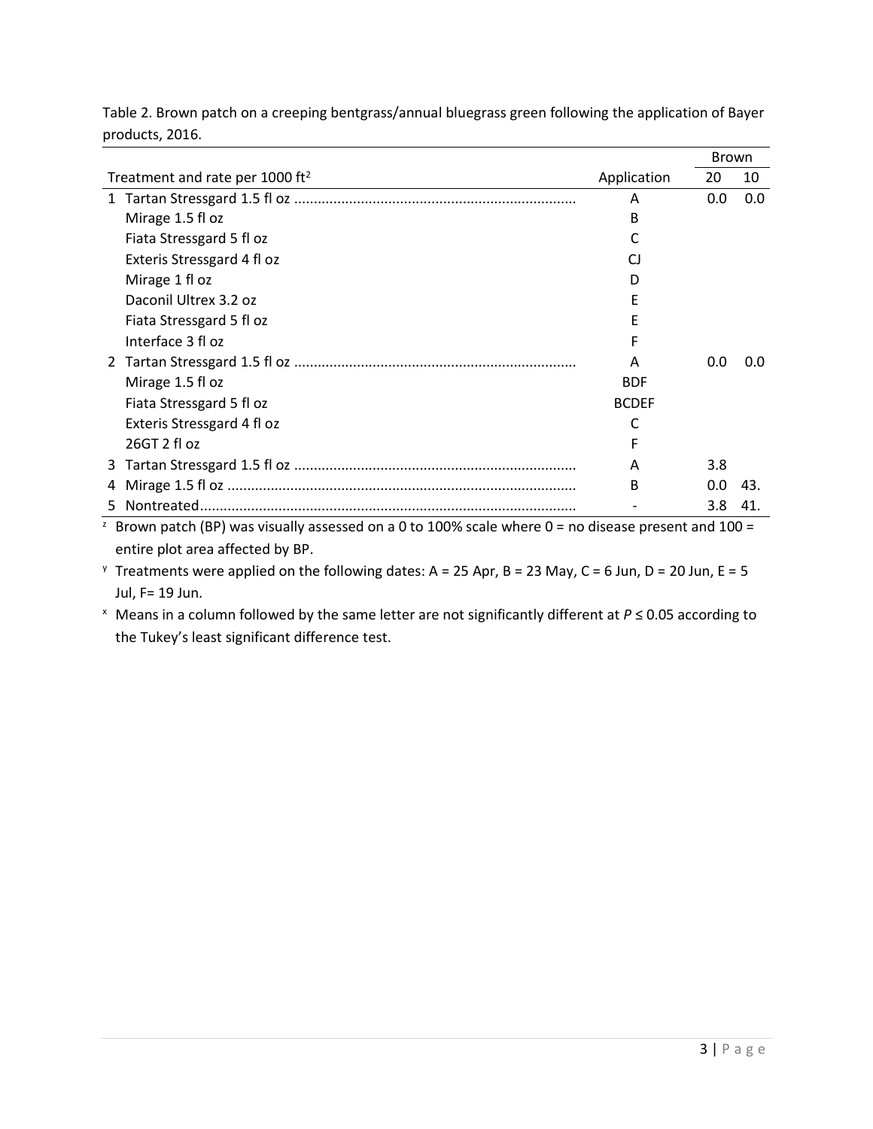Table 2. Brown patch on a creeping bentgrass/annual bluegrass green following the application of Bayer products, 2016.

|                                             |                            |              | <b>Brown</b> |     |
|---------------------------------------------|----------------------------|--------------|--------------|-----|
| Treatment and rate per 1000 ft <sup>2</sup> |                            | Application  | 20           | 10  |
|                                             |                            | Α            | 0.0          | 0.0 |
|                                             | Mirage 1.5 fl oz           | В            |              |     |
|                                             | Fiata Stressgard 5 fl oz   |              |              |     |
|                                             | Exteris Stressgard 4 fl oz | CΙ           |              |     |
|                                             | Mirage 1 fl oz             | D            |              |     |
|                                             | Daconil Ultrex 3.2 oz      | F            |              |     |
|                                             | Fiata Stressgard 5 fl oz   | F            |              |     |
|                                             | Interface 3 fl oz          | F            |              |     |
|                                             |                            | A            | 0.0          | 0.0 |
|                                             | Mirage 1.5 fl oz           | <b>BDF</b>   |              |     |
|                                             | Fiata Stressgard 5 fl oz   | <b>BCDEF</b> |              |     |
|                                             | Exteris Stressgard 4 fl oz | C            |              |     |
|                                             | 26GT 2 fl oz               | F            |              |     |
| 3                                           |                            | A            | 3.8          |     |
| 4                                           |                            | В            | 0.0          | 43. |
| 5.                                          |                            |              | 3.8          | 41. |

<sup>2</sup> Brown patch (BP) was visually assessed on a 0 to 100% scale where 0 = no disease present and 100 = entire plot area affected by BP.

<sup>y</sup> Treatments were applied on the following dates: A = 25 Apr, B = 23 May, C = 6 Jun, D = 20 Jun, E = 5 Jul, F= 19 Jun.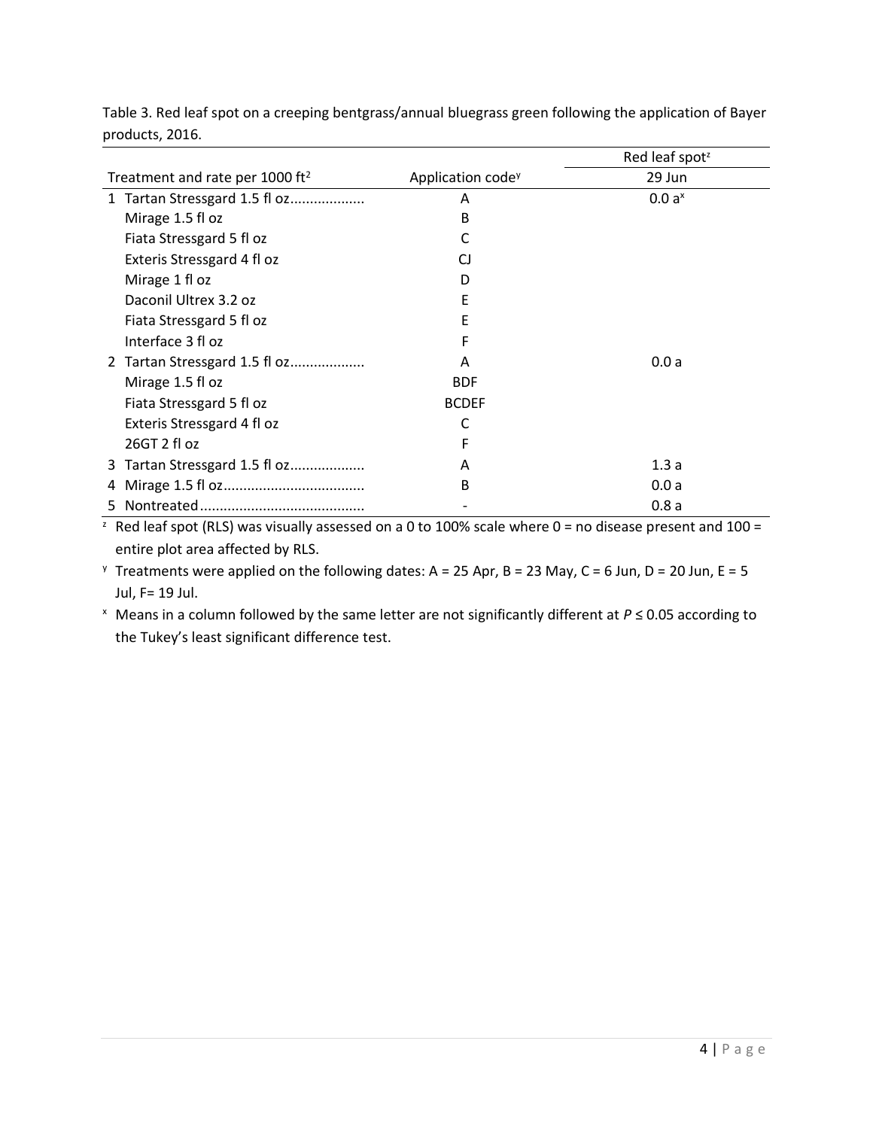|                                             |                               | Red leaf spot <sup>z</sup> |
|---------------------------------------------|-------------------------------|----------------------------|
| Treatment and rate per 1000 ft <sup>2</sup> | Application code <sup>y</sup> | 29 Jun                     |
| 1 Tartan Stressgard 1.5 fl oz               | A                             | 0.0 a <sup>x</sup>         |
| Mirage 1.5 fl oz                            | B                             |                            |
| Fiata Stressgard 5 fl oz                    | C                             |                            |
| Exteris Stressgard 4 fl oz                  | CJ                            |                            |
| Mirage 1 fl oz                              | D                             |                            |
| Daconil Ultrex 3.2 oz                       | E                             |                            |
| Fiata Stressgard 5 fl oz                    | E                             |                            |
| Interface 3 fl oz                           | F                             |                            |
| 2 Tartan Stressgard 1.5 fl oz               | A                             | 0.0a                       |
| Mirage 1.5 fl oz                            | <b>BDF</b>                    |                            |
| Fiata Stressgard 5 fl oz                    | <b>BCDEF</b>                  |                            |
| Exteris Stressgard 4 fl oz                  | C                             |                            |
| 26GT 2 fl oz                                | F                             |                            |
| 3 Tartan Stressgard 1.5 fl oz               | A                             | 1.3a                       |
| 4                                           | B                             | 0.0a                       |
|                                             |                               | 0.8a                       |

Table 3. Red leaf spot on a creeping bentgrass/annual bluegrass green following the application of Bayer products, 2016.

 $\frac{1}{2}$  Red leaf spot (RLS) was visually assessed on a 0 to 100% scale where 0 = no disease present and 100 = entire plot area affected by RLS.

<sup>y</sup> Treatments were applied on the following dates: A = 25 Apr, B = 23 May, C = 6 Jun, D = 20 Jun, E = 5 Jul, F= 19 Jul.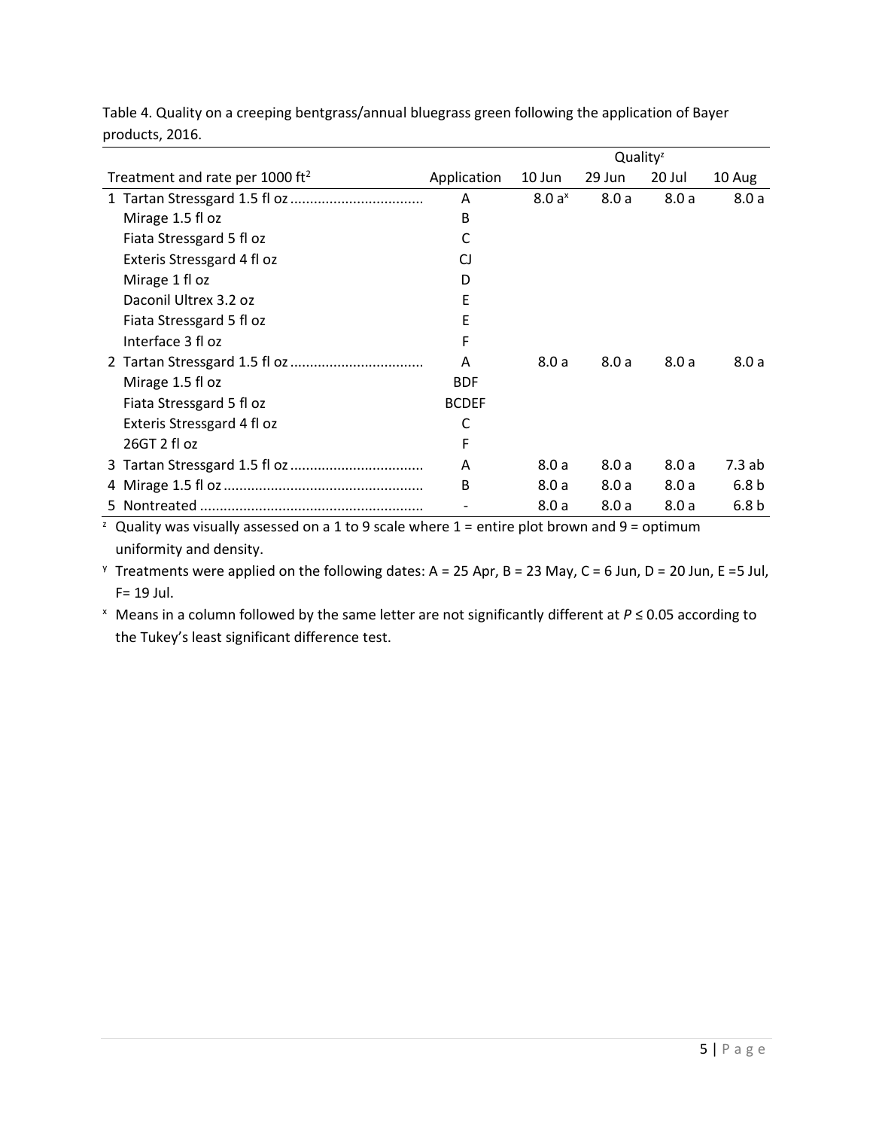|                                             |              | Quality <sup>z</sup> |        |        |                  |
|---------------------------------------------|--------------|----------------------|--------|--------|------------------|
| Treatment and rate per 1000 ft <sup>2</sup> | Application  | 10 Jun               | 29 Jun | 20 Jul | 10 Aug           |
|                                             | Α            | 8.0a <sup>x</sup>    | 8.0a   | 8.0a   | 8.0a             |
| Mirage 1.5 fl oz                            | B            |                      |        |        |                  |
| Fiata Stressgard 5 fl oz                    | C            |                      |        |        |                  |
| Exteris Stressgard 4 fl oz                  | CJ           |                      |        |        |                  |
| Mirage 1 fl oz                              | D            |                      |        |        |                  |
| Daconil Ultrex 3.2 oz                       | E            |                      |        |        |                  |
| Fiata Stressgard 5 fl oz                    | E            |                      |        |        |                  |
| Interface 3 fl oz                           | F            |                      |        |        |                  |
|                                             | A            | 8.0a                 | 8.0a   | 8.0a   | 8.0a             |
| Mirage 1.5 fl oz                            | <b>BDF</b>   |                      |        |        |                  |
| Fiata Stressgard 5 fl oz                    | <b>BCDEF</b> |                      |        |        |                  |
| Exteris Stressgard 4 fl oz                  | C            |                      |        |        |                  |
| 26GT 2 fl oz                                | F            |                      |        |        |                  |
|                                             | Α            | 8.0a                 | 8.0a   | 8.0a   | 7.3 ab           |
|                                             | B            | 8.0a                 | 8.0a   | 8.0a   | 6.8 <sub>b</sub> |
|                                             |              | 8.0a                 | 8.0a   | 8.0a   | 6.8 <sub>b</sub> |

Table 4. Quality on a creeping bentgrass/annual bluegrass green following the application of Bayer products, 2016.

 $\overline{a}$  Quality was visually assessed on a 1 to 9 scale where 1 = entire plot brown and 9 = optimum uniformity and density.

<sup>y</sup> Treatments were applied on the following dates: A = 25 Apr, B = 23 May, C = 6 Jun, D = 20 Jun, E = 5 Jul, F= 19 Jul.